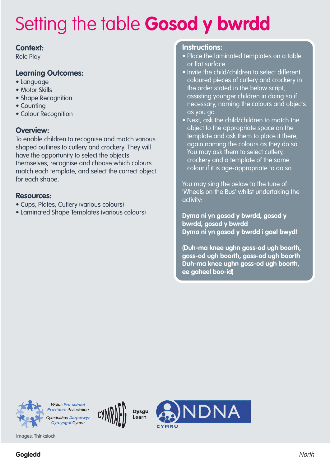### **Context:**

Role Play

### **Learning Outcomes:**

- Language
- Motor Skills
- Shape Recognition
- Counting
- Colour Recognition

### **Overview:**

To enable children to recognise and match various shaped outlines to cutlery and crockery. They will have the opportunity to select the objects themselves, recognise and choose which colours match each template, and select the correct object for each shape.

### **Resources:**

- Cups, Plates, Cutlery (various colours)
- Laminated Shape Templates (various colours)

### **Instructions:**

- Place the laminated templates on a table or flat surface.
- Invite the child/children to select different coloured pieces of cutlery and crockery in the order stated in the below script, assisting younger children in doing so if necessary, naming the colours and objects as you go.
- Next, ask the child/children to match the object to the appropriate space on the template and ask them to place it there, again naming the colours as they do so. You may ask them to select cutlery, crockery and a template of the same colour if it is age-appropriate to do so.

You may sing the below to the tune of 'Wheels on the Bus' whilst undertaking the activity:

**Dyma ni yn gosod y bwrdd, gosod y bwrdd, gosod y bwrdd Dyma ni yn gosod y bwrdd i gael bwyd!**

**(Duh-ma knee ughn goss-od ugh boorth, goss-od ugh boorth, goss-od ugh boorth Duh-ma knee ughn goss-od ugh boorth, ee gaheel boo-id)**

IDNA



Cyn-ysgol Cymru Images: Thinkstock

**Wales Pre-school** 

**Dysgu** 

l earn

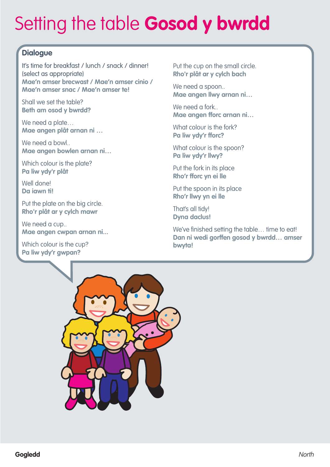## **Dialogue**

It's time for breakfast / lunch / snack / dinner! (select as appropriate) **Mae'n amser brecwast / Mae'n amser cinio / Mae'n amser snac / Mae'n amser te!**

Shall we set the table? **Beth am osod y bwrdd?**

We need a plate... **Mae angen plât arnan ni …**

We need a bowl.. **Mae angen bowlen arnan ni…**

Which colour is the plate? **Pa liw ydy'r plât**

Well done! **Da iawn ti!**

Put the plate on the big circle. **Rho'r plât ar y cylch mawr**

We need a cup.. **Mae angen cwpan arnan ni...**

Which colour is the cup? **Pa liw ydy'r gwpan?**

Put the cup on the small circle. **Rho'r plât ar y cylch bach**

We need a spoon.. **Mae angen llwy arnan ni…**

We need a fork.. **Mae angen fforc arnan ni…**

What colour is the fork? **Pa liw ydy'r fforc?**

What colour is the spoon? **Pa liw ydy'r llwy?**

Put the fork in its place **Rho'r fforc yn ei lle**

Put the spoon in its place **Rho'r llwy yn ei lle**

That's all tidy! **Dyna daclus!**

We've finished setting the table... time to eat! **Dan ni wedi gorffen gosod y bwrdd… amser bwyta!**

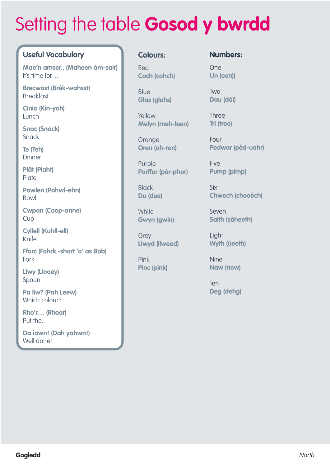## **Useful Vocabulary**

**Mae'n amser.. (Maheen ám-sair)** It's time for…

**Brecwast (Brék-wahsst)** Breakfast

**Cinio (Kín-yoh)** Lunch

**Snac (Snack)** Snack

**Te (Teh) Dinner** 

**Plât (Plaht) Plate** 

**Powlen (Pohwl-ehn)** Bowl

**Cwpan (Coop-anne)** Cup

**Cyllell (Kuhll-ell)** Knife

**Fforc (Fohrk -short 'o' as Bob)** Fork

**Llwy (Llooey)** Spoon

**Pa liw? (Pah Leew)** Which colour?

**Rho'r… (Rhoar)** Put the..

**Da iawn! (Dah yahwn!)** Well done!

### **Colours:**

Red **Coch (cohch)**

Blue **Glas (glahs)**

Yellow **Melyn (meh-leen)**

**Orange Oren (oh-ren)**

Purple **Porffor (pór-phor)**

**Black Du (dee)**

**White Gwyn (gwin)**

**Grev Llwyd (llweed)**

Pink **Pinc (pink)**

### **Numbers:**

One **Un (een))**

Two **Dau (dái)**

Three **Tri (tree)**

Four **Pedwar (péd-uahr)**

**Five Pump (pimp)**

Six **Chwech (chooéch)**

Seven **Saith (sáheeth)**

**Eight Wyth (úeeth)**

Nine **Naw (now)**

**Ten Deg (dehg)**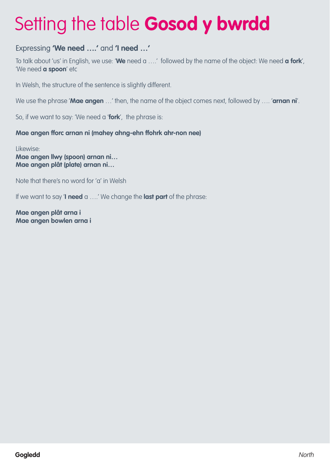## Expressing **'We need ….'** and **'I need …'**

To talk about 'us' in English, we use: '**We** need a ….' followed by the name of the object: We need **a fork**', 'We need **a spoon**' etc

In Welsh, the structure of the sentence is slightly different.

We use the phrase '**Mae angen** …' then, the name of the object comes next, followed by …. '**arnan ni**'.

So, if we want to say: 'We need a '**fork**', the phrase is:

### **Mae angen fforc arnan ni (mahey ahng-ehn ffohrk ahr-non nee)**

Likewise: **Mae angen llwy (spoon) arnan ni… Mae angen plât (plate) arnan ni…**

Note that there's no word for 'a' in Welsh

If we want to say '**I need** a ….' We change the **last part** of the phrase:

**Mae angen plât arna i Mae angen bowlen arna i**